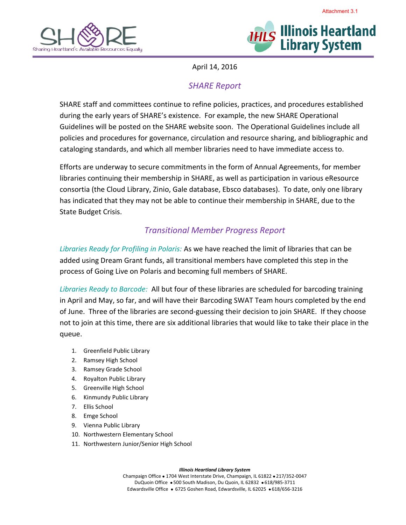



Attachment 3.1

April 14, 2016

## *SHARE Report*

SHARE staff and committees continue to refine policies, practices, and procedures established during the early years of SHARE's existence. For example, the new SHARE Operational Guidelines will be posted on the SHARE website soon. The Operational Guidelines include all policies and procedures for governance, circulation and resource sharing, and bibliographic and cataloging standards, and which all member libraries need to have immediate access to.

Efforts are underway to secure commitments in the form of Annual Agreements, for member libraries continuing their membership in SHARE, as well as participation in various eResource consortia (the Cloud Library, Zinio, Gale database, Ebsco databases). To date, only one library has indicated that they may not be able to continue their membership in SHARE, due to the State Budget Crisis.

## *Transitional Member Progress Report*

*Libraries Ready for Profiling in Polaris:* As we have reached the limit of libraries that can be added using Dream Grant funds, all transitional members have completed this step in the process of Going Live on Polaris and becoming full members of SHARE.

*Libraries Ready to Barcode:* All but four of these libraries are scheduled for barcoding training in April and May, so far, and will have their Barcoding SWAT Team hours completed by the end of June. Three of the libraries are second-guessing their decision to join SHARE. If they choose not to join at this time, there are six additional libraries that would like to take their place in the queue.

- 1. Greenfield Public Library
- 2. Ramsey High School
- 3. Ramsey Grade School
- 4. Royalton Public Library
- 5. Greenville High School
- 6. Kinmundy Public Library
- 7. Ellis School
- 8. Emge School
- 9. Vienna Public Library
- 10. Northwestern Elementary School
- 11. Northwestern Junior/Senior High School

*Illinois Heartland Library System*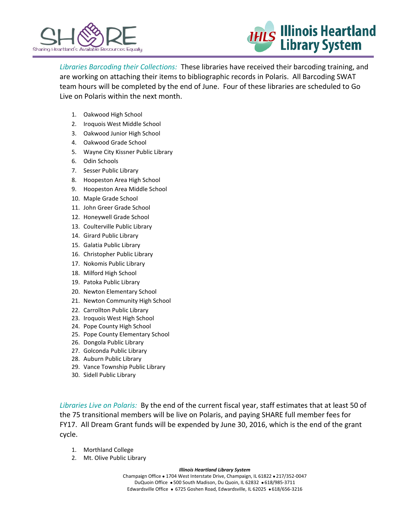



*Libraries Barcoding their Collections:* These libraries have received their barcoding training, and are working on attaching their items to bibliographic records in Polaris. All Barcoding SWAT team hours will be completed by the end of June. Four of these libraries are scheduled to Go Live on Polaris within the next month.

- 1. Oakwood High School
- 2. Iroquois West Middle School
- 3. Oakwood Junior High School
- 4. Oakwood Grade School
- 5. Wayne City Kissner Public Library
- 6. Odin Schools
- 7. Sesser Public Library
- 8. Hoopeston Area High School
- 9. Hoopeston Area Middle School
- 10. Maple Grade School
- 11. John Greer Grade School
- 12. Honeywell Grade School
- 13. Coulterville Public Library
- 14. Girard Public Library
- 15. Galatia Public Library
- 16. Christopher Public Library
- 17. Nokomis Public Library
- 18. Milford High School
- 19. Patoka Public Library
- 20. Newton Elementary School
- 21. Newton Community High School
- 22. Carrollton Public Library
- 23. Iroquois West High School
- 24. Pope County High School
- 25. Pope County Elementary School
- 26. Dongola Public Library
- 27. Golconda Public Library
- 28. Auburn Public Library
- 29. Vance Township Public Library
- 30. Sidell Public Library

*Libraries Live on Polaris:* By the end of the current fiscal year, staff estimates that at least 50 of the 75 transitional members will be live on Polaris, and paying SHARE full member fees for FY17. All Dream Grant funds will be expended by June 30, 2016, which is the end of the grant cycle.

- 1. Morthland College
- 2. Mt. Olive Public Library

## *Illinois Heartland Library System*

Champaign Office . 1704 West Interstate Drive, Champaign, IL 61822 . 217/352-0047 DuQuoin Office . 500 South Madison, Du Quoin, IL 62832 . 618/985-3711 Edwardsville Office · 6725 Goshen Road, Edwardsville, IL 62025 · 618/656-3216